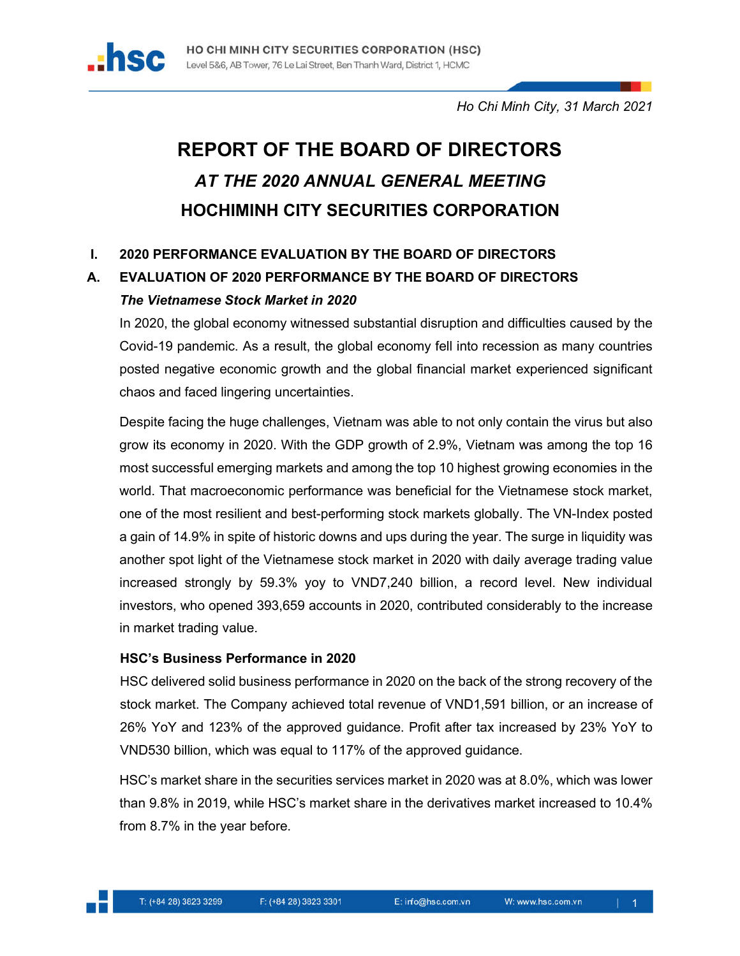

*Ho Chi Minh City, 31 March 2021*

# **REPORT OF THE BOARD OF DIRECTORS** *AT THE 2020 ANNUAL GENERAL MEETING*  **HOCHIMINH CITY SECURITIES CORPORATION**

# **I. 2020 PERFORMANCE EVALUATION BY THE BOARD OF DIRECTORS**

# **A. EVALUATION OF 2020 PERFORMANCE BY THE BOARD OF DIRECTORS** *The Vietnamese Stock Market in 2020*

In 2020, the global economy witnessed substantial disruption and difficulties caused by the Covid-19 pandemic. As a result, the global economy fell into recession as many countries posted negative economic growth and the global financial market experienced significant chaos and faced lingering uncertainties.

Despite facing the huge challenges, Vietnam was able to not only contain the virus but also grow its economy in 2020. With the GDP growth of 2.9%, Vietnam was among the top 16 most successful emerging markets and among the top 10 highest growing economies in the world. That macroeconomic performance was beneficial for the Vietnamese stock market, one of the most resilient and best-performing stock markets globally. The VN-Index posted a gain of 14.9% in spite of historic downs and ups during the year. The surge in liquidity was another spot light of the Vietnamese stock market in 2020 with daily average trading value increased strongly by 59.3% yoy to VND7,240 billion, a record level. New individual investors, who opened 393,659 accounts in 2020, contributed considerably to the increase in market trading value.

# **HSC's Business Performance in 2020**

HSC delivered solid business performance in 2020 on the back of the strong recovery of the stock market. The Company achieved total revenue of VND1,591 billion, or an increase of 26% YoY and 123% of the approved guidance. Profit after tax increased by 23% YoY to VND530 billion, which was equal to 117% of the approved guidance.

HSC's market share in the securities services market in 2020 was at 8.0%, which was lower than 9.8% in 2019, while HSC's market share in the derivatives market increased to 10.4% from 8.7% in the year before.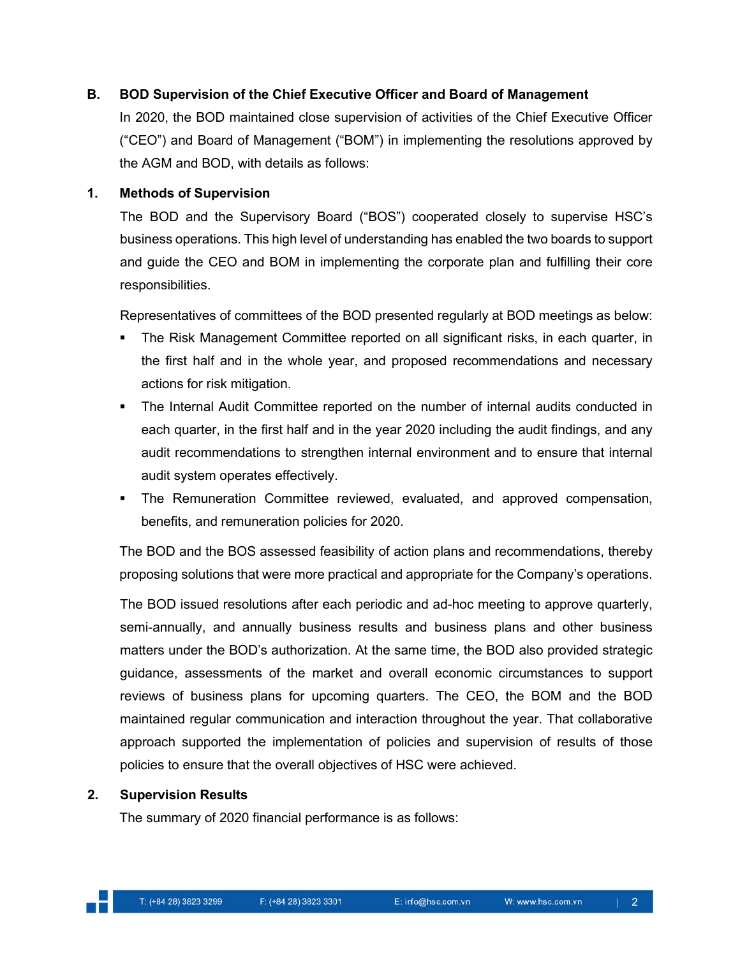# **B. BOD Supervision of the Chief Executive Officer and Board of Management**

In 2020, the BOD maintained close supervision of activities of the Chief Executive Officer ("CEO") and Board of Management ("BOM") in implementing the resolutions approved by the AGM and BOD, with details as follows:

#### **1. Methods of Supervision**

The BOD and the Supervisory Board ("BOS") cooperated closely to supervise HSC's business operations. This high level of understanding has enabled the two boards to support and guide the CEO and BOM in implementing the corporate plan and fulfilling their core responsibilities.

Representatives of committees of the BOD presented regularly at BOD meetings as below:

- The Risk Management Committee reported on all significant risks, in each quarter, in the first half and in the whole year, and proposed recommendations and necessary actions for risk mitigation.
- The Internal Audit Committee reported on the number of internal audits conducted in each quarter, in the first half and in the year 2020 including the audit findings, and any audit recommendations to strengthen internal environment and to ensure that internal audit system operates effectively.
- The Remuneration Committee reviewed, evaluated, and approved compensation, benefits, and remuneration policies for 2020.

The BOD and the BOS assessed feasibility of action plans and recommendations, thereby proposing solutions that were more practical and appropriate for the Company's operations.

The BOD issued resolutions after each periodic and ad-hoc meeting to approve quarterly, semi-annually, and annually business results and business plans and other business matters under the BOD's authorization. At the same time, the BOD also provided strategic guidance, assessments of the market and overall economic circumstances to support reviews of business plans for upcoming quarters. The CEO, the BOM and the BOD maintained regular communication and interaction throughout the year. That collaborative approach supported the implementation of policies and supervision of results of those policies to ensure that the overall objectives of HSC were achieved.

#### **2. Supervision Results**

The summary of 2020 financial performance is as follows: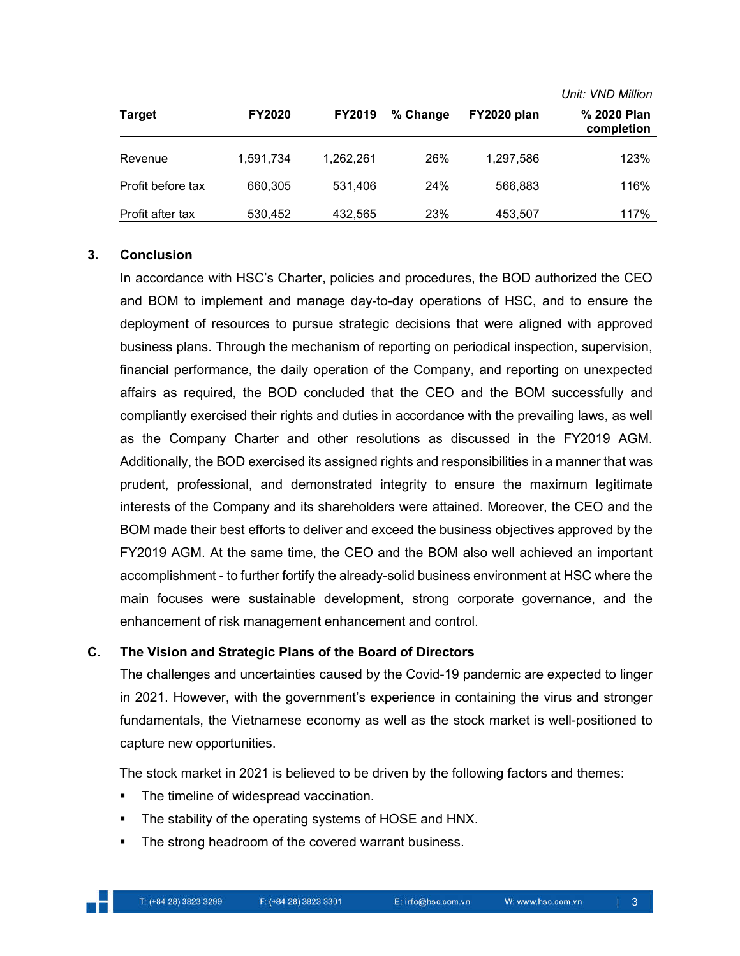|                   |               |               |          |             | <i>UIIII. VIND MIIIIOII</i> |
|-------------------|---------------|---------------|----------|-------------|-----------------------------|
| <b>Target</b>     | <b>FY2020</b> | <b>FY2019</b> | % Change | FY2020 plan | % 2020 Plan<br>completion   |
| Revenue           | 1,591,734     | 1.262.261     | 26%      | 1,297,586   | 123%                        |
| Profit before tax | 660,305       | 531,406       | 24%      | 566,883     | 116%                        |
| Profit after tax  | 530,452       | 432.565       | 23%      | 453,507     | 117%                        |

#### **3. Conclusion**

In accordance with HSC's Charter, policies and procedures, the BOD authorized the CEO and BOM to implement and manage day-to-day operations of HSC, and to ensure the deployment of resources to pursue strategic decisions that were aligned with approved business plans. Through the mechanism of reporting on periodical inspection, supervision, financial performance, the daily operation of the Company, and reporting on unexpected affairs as required, the BOD concluded that the CEO and the BOM successfully and compliantly exercised their rights and duties in accordance with the prevailing laws, as well as the Company Charter and other resolutions as discussed in the FY2019 AGM. Additionally, the BOD exercised its assigned rights and responsibilities in a manner that was prudent, professional, and demonstrated integrity to ensure the maximum legitimate interests of the Company and its shareholders were attained. Moreover, the CEO and the BOM made their best efforts to deliver and exceed the business objectives approved by the FY2019 AGM. At the same time, the CEO and the BOM also well achieved an important accomplishment - to further fortify the already-solid business environment at HSC where the main focuses were sustainable development, strong corporate governance, and the enhancement of risk management enhancement and control.

#### **C. The Vision and Strategic Plans of the Board of Directors**

The challenges and uncertainties caused by the Covid-19 pandemic are expected to linger in 2021. However, with the government's experience in containing the virus and stronger fundamentals, the Vietnamese economy as well as the stock market is well-positioned to capture new opportunities.

The stock market in 2021 is believed to be driven by the following factors and themes:

- The timeline of widespread vaccination.
- The stability of the operating systems of HOSE and HNX.
- **The strong headroom of the covered warrant business.**

*Unit: VND Million*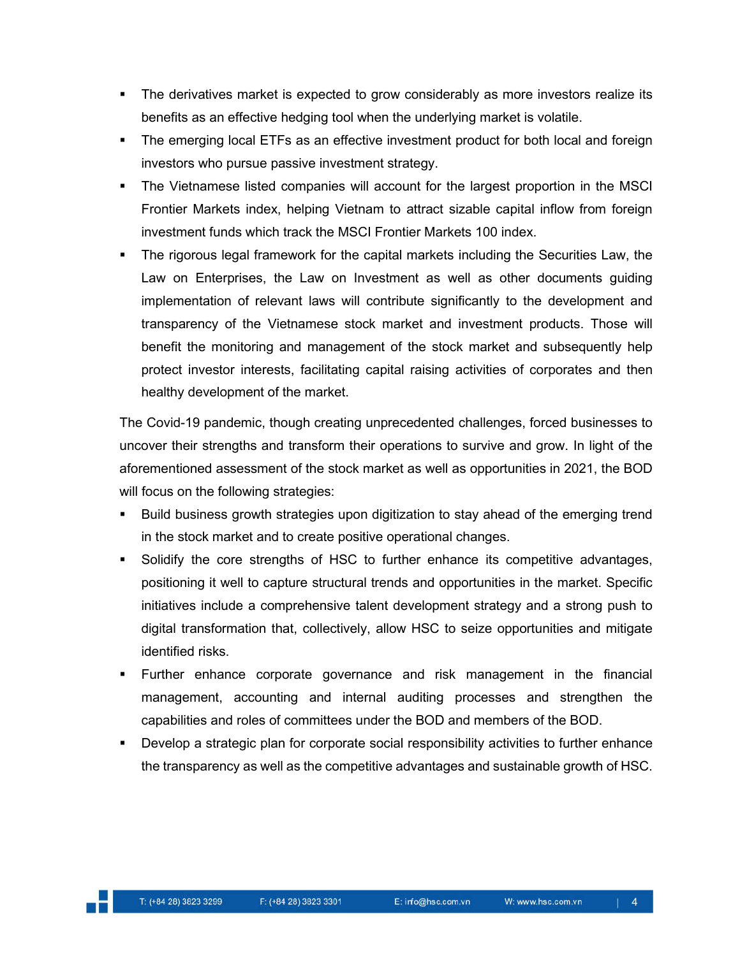- The derivatives market is expected to grow considerably as more investors realize its benefits as an effective hedging tool when the underlying market is volatile.
- The emerging local ETFs as an effective investment product for both local and foreign investors who pursue passive investment strategy.
- The Vietnamese listed companies will account for the largest proportion in the MSCI Frontier Markets index, helping Vietnam to attract sizable capital inflow from foreign investment funds which track the MSCI Frontier Markets 100 index.
- The rigorous legal framework for the capital markets including the Securities Law, the Law on Enterprises, the Law on Investment as well as other documents guiding implementation of relevant laws will contribute significantly to the development and transparency of the Vietnamese stock market and investment products. Those will benefit the monitoring and management of the stock market and subsequently help protect investor interests, facilitating capital raising activities of corporates and then healthy development of the market.

The Covid-19 pandemic, though creating unprecedented challenges, forced businesses to uncover their strengths and transform their operations to survive and grow. In light of the aforementioned assessment of the stock market as well as opportunities in 2021, the BOD will focus on the following strategies:

- Build business growth strategies upon digitization to stay ahead of the emerging trend in the stock market and to create positive operational changes.
- Solidify the core strengths of HSC to further enhance its competitive advantages, positioning it well to capture structural trends and opportunities in the market. Specific initiatives include a comprehensive talent development strategy and a strong push to digital transformation that, collectively, allow HSC to seize opportunities and mitigate identified risks.
- Further enhance corporate governance and risk management in the financial management, accounting and internal auditing processes and strengthen the capabilities and roles of committees under the BOD and members of the BOD.
- Develop a strategic plan for corporate social responsibility activities to further enhance the transparency as well as the competitive advantages and sustainable growth of HSC.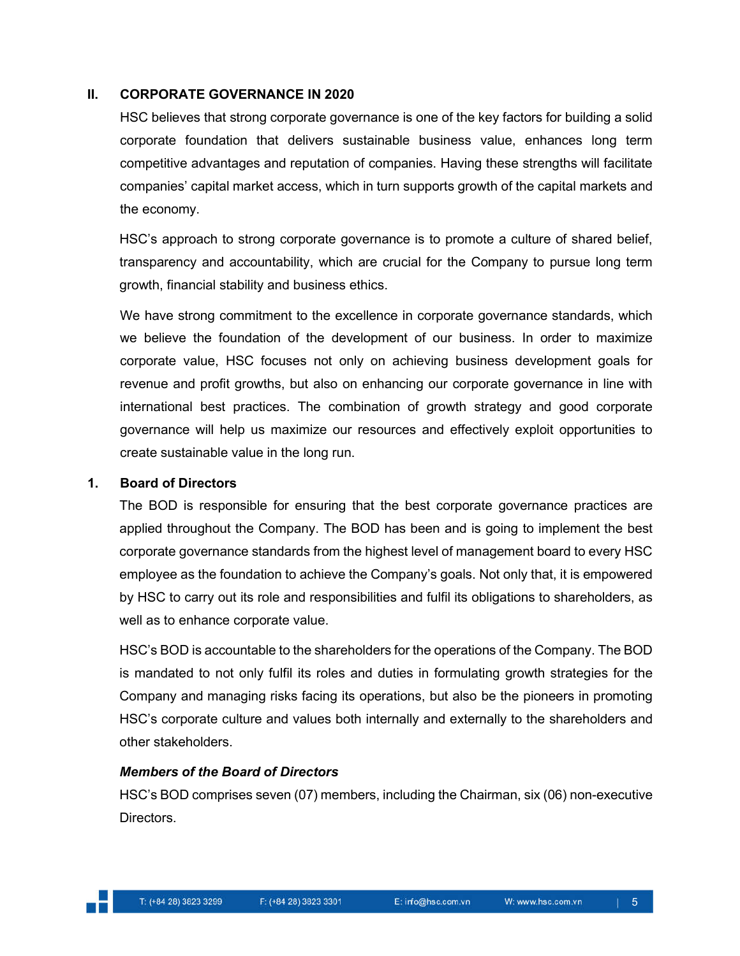#### **II. CORPORATE GOVERNANCE IN 2020**

HSC believes that strong corporate governance is one of the key factors for building a solid corporate foundation that delivers sustainable business value, enhances long term competitive advantages and reputation of companies. Having these strengths will facilitate companies' capital market access, which in turn supports growth of the capital markets and the economy.

HSC's approach to strong corporate governance is to promote a culture of shared belief, transparency and accountability, which are crucial for the Company to pursue long term growth, financial stability and business ethics.

We have strong commitment to the excellence in corporate governance standards, which we believe the foundation of the development of our business. In order to maximize corporate value, HSC focuses not only on achieving business development goals for revenue and profit growths, but also on enhancing our corporate governance in line with international best practices. The combination of growth strategy and good corporate governance will help us maximize our resources and effectively exploit opportunities to create sustainable value in the long run.

#### **1. Board of Directors**

The BOD is responsible for ensuring that the best corporate governance practices are applied throughout the Company. The BOD has been and is going to implement the best corporate governance standards from the highest level of management board to every HSC employee as the foundation to achieve the Company's goals. Not only that, it is empowered by HSC to carry out its role and responsibilities and fulfil its obligations to shareholders, as well as to enhance corporate value.

HSC's BOD is accountable to the shareholders for the operations of the Company. The BOD is mandated to not only fulfil its roles and duties in formulating growth strategies for the Company and managing risks facing its operations, but also be the pioneers in promoting HSC's corporate culture and values both internally and externally to the shareholders and other stakeholders.

#### *Members of the Board of Directors*

HSC's BOD comprises seven (07) members, including the Chairman, six (06) non-executive Directors.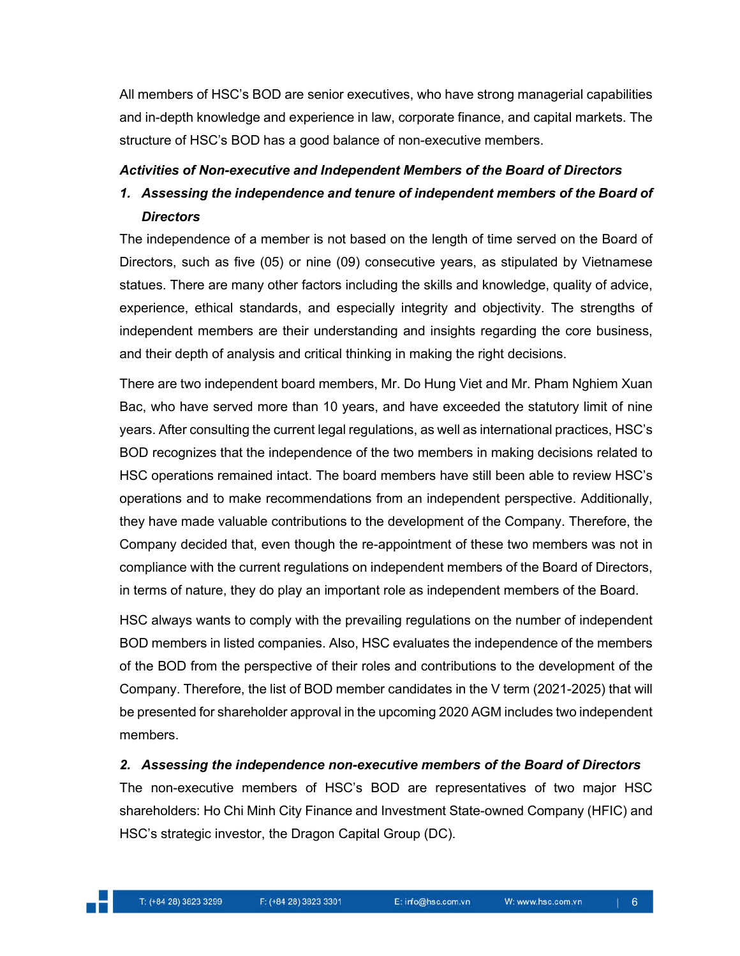All members of HSC's BOD are senior executives, who have strong managerial capabilities and in-depth knowledge and experience in law, corporate finance, and capital markets. The structure of HSC's BOD has a good balance of non-executive members.

# *Activities of Non-executive and Independent Members of the Board of Directors*

# *1. Assessing the independence and tenure of independent members of the Board of Directors*

The independence of a member is not based on the length of time served on the Board of Directors, such as five (05) or nine (09) consecutive years, as stipulated by Vietnamese statues. There are many other factors including the skills and knowledge, quality of advice, experience, ethical standards, and especially integrity and objectivity. The strengths of independent members are their understanding and insights regarding the core business, and their depth of analysis and critical thinking in making the right decisions.

There are two independent board members, Mr. Do Hung Viet and Mr. Pham Nghiem Xuan Bac, who have served more than 10 years, and have exceeded the statutory limit of nine years. After consulting the current legal regulations, as well as international practices, HSC's BOD recognizes that the independence of the two members in making decisions related to HSC operations remained intact. The board members have still been able to review HSC's operations and to make recommendations from an independent perspective. Additionally, they have made valuable contributions to the development of the Company. Therefore, the Company decided that, even though the re-appointment of these two members was not in compliance with the current regulations on independent members of the Board of Directors, in terms of nature, they do play an important role as independent members of the Board.

HSC always wants to comply with the prevailing regulations on the number of independent BOD members in listed companies. Also, HSC evaluates the independence of the members of the BOD from the perspective of their roles and contributions to the development of the Company. Therefore, the list of BOD member candidates in the V term (2021-2025) that will be presented for shareholder approval in the upcoming 2020 AGM includes two independent members.

# *2. Assessing the independence non-executive members of the Board of Directors*

The non-executive members of HSC's BOD are representatives of two major HSC shareholders: Ho Chi Minh City Finance and Investment State-owned Company (HFIC) and HSC's strategic investor, the Dragon Capital Group (DC).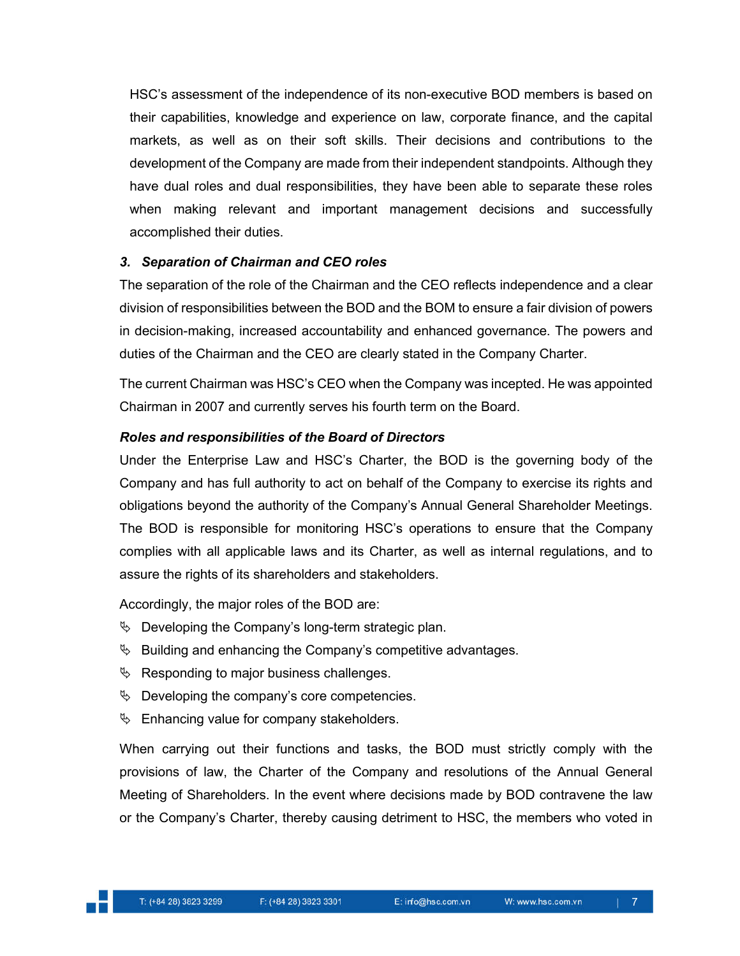HSC's assessment of the independence of its non-executive BOD members is based on their capabilities, knowledge and experience on law, corporate finance, and the capital markets, as well as on their soft skills. Their decisions and contributions to the development of the Company are made from their independent standpoints. Although they have dual roles and dual responsibilities, they have been able to separate these roles when making relevant and important management decisions and successfully accomplished their duties.

# *3. Separation of Chairman and CEO roles*

The separation of the role of the Chairman and the CEO reflects independence and a clear division of responsibilities between the BOD and the BOM to ensure a fair division of powers in decision-making, increased accountability and enhanced governance. The powers and duties of the Chairman and the CEO are clearly stated in the Company Charter.

The current Chairman was HSC's CEO when the Company was incepted. He was appointed Chairman in 2007 and currently serves his fourth term on the Board.

# *Roles and responsibilities of the Board of Directors*

Under the Enterprise Law and HSC's Charter, the BOD is the governing body of the Company and has full authority to act on behalf of the Company to exercise its rights and obligations beyond the authority of the Company's Annual General Shareholder Meetings. The BOD is responsible for monitoring HSC's operations to ensure that the Company complies with all applicable laws and its Charter, as well as internal regulations, and to assure the rights of its shareholders and stakeholders.

Accordingly, the major roles of the BOD are:

- $\%$  Developing the Company's long-term strategic plan.
- $\%$  Building and enhancing the Company's competitive advantages.
- $\%$  Responding to major business challenges.
- $\&$  Developing the company's core competencies.
- $\%$  Enhancing value for company stakeholders.

When carrying out their functions and tasks, the BOD must strictly comply with the provisions of law, the Charter of the Company and resolutions of the Annual General Meeting of Shareholders. In the event where decisions made by BOD contravene the law or the Company's Charter, thereby causing detriment to HSC, the members who voted in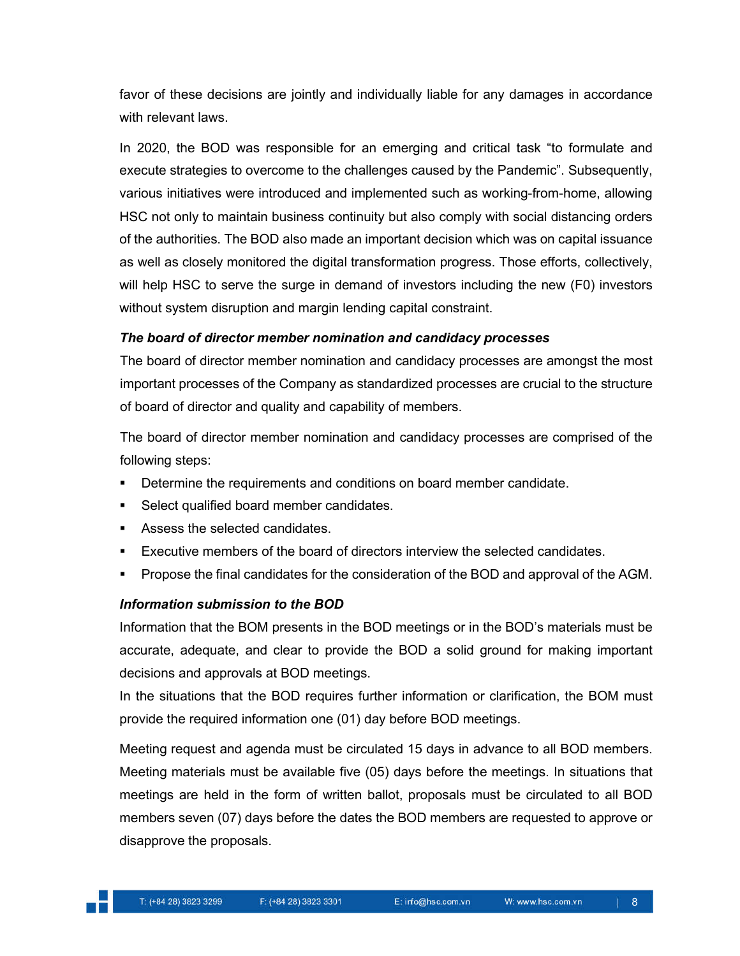favor of these decisions are jointly and individually liable for any damages in accordance with relevant laws.

In 2020, the BOD was responsible for an emerging and critical task "to formulate and execute strategies to overcome to the challenges caused by the Pandemic". Subsequently, various initiatives were introduced and implemented such as working-from-home, allowing HSC not only to maintain business continuity but also comply with social distancing orders of the authorities. The BOD also made an important decision which was on capital issuance as well as closely monitored the digital transformation progress. Those efforts, collectively, will help HSC to serve the surge in demand of investors including the new (F0) investors without system disruption and margin lending capital constraint.

# *The board of director member nomination and candidacy processes*

The board of director member nomination and candidacy processes are amongst the most important processes of the Company as standardized processes are crucial to the structure of board of director and quality and capability of members.

The board of director member nomination and candidacy processes are comprised of the following steps:

- **Determine the requirements and conditions on board member candidate.**
- Select qualified board member candidates.
- Assess the selected candidates.
- Executive members of the board of directors interview the selected candidates.
- **Propose the final candidates for the consideration of the BOD and approval of the AGM.**

# *Information submission to the BOD*

Information that the BOM presents in the BOD meetings or in the BOD's materials must be accurate, adequate, and clear to provide the BOD a solid ground for making important decisions and approvals at BOD meetings.

In the situations that the BOD requires further information or clarification, the BOM must provide the required information one (01) day before BOD meetings.

Meeting request and agenda must be circulated 15 days in advance to all BOD members. Meeting materials must be available five (05) days before the meetings. In situations that meetings are held in the form of written ballot, proposals must be circulated to all BOD members seven (07) days before the dates the BOD members are requested to approve or disapprove the proposals.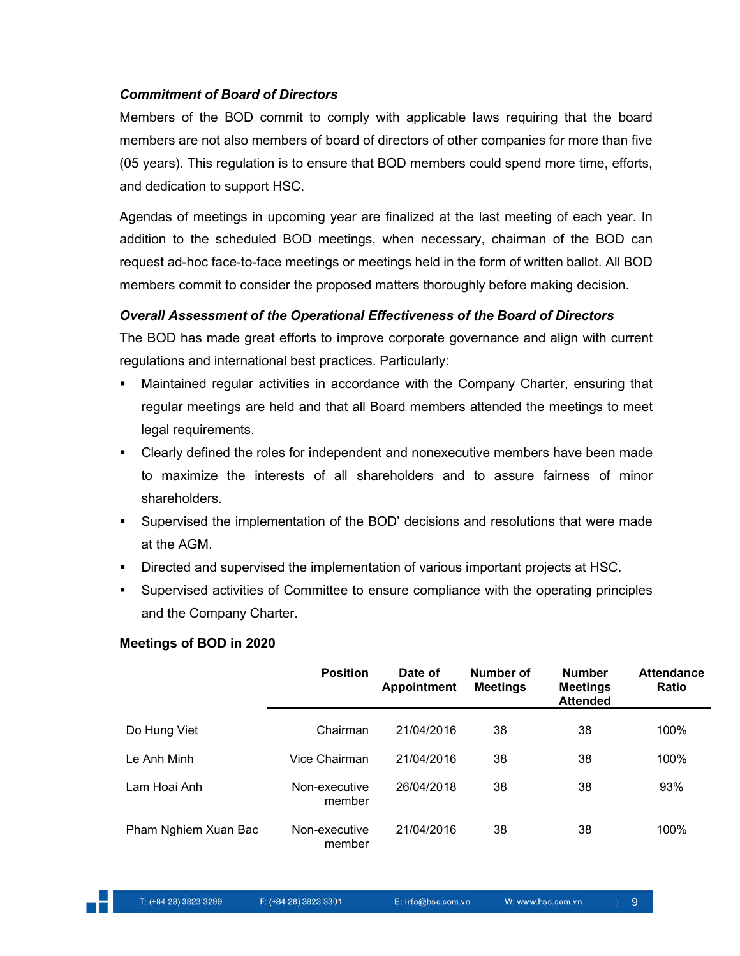# *Commitment of Board of Directors*

Members of the BOD commit to comply with applicable laws requiring that the board members are not also members of board of directors of other companies for more than five (05 years). This regulation is to ensure that BOD members could spend more time, efforts, and dedication to support HSC.

Agendas of meetings in upcoming year are finalized at the last meeting of each year. In addition to the scheduled BOD meetings, when necessary, chairman of the BOD can request ad-hoc face-to-face meetings or meetings held in the form of written ballot. All BOD members commit to consider the proposed matters thoroughly before making decision.

# *Overall Assessment of the Operational Effectiveness of the Board of Directors*

The BOD has made great efforts to improve corporate governance and align with current regulations and international best practices. Particularly:

- Maintained regular activities in accordance with the Company Charter, ensuring that regular meetings are held and that all Board members attended the meetings to meet legal requirements.
- Clearly defined the roles for independent and nonexecutive members have been made to maximize the interests of all shareholders and to assure fairness of minor shareholders.
- Supervised the implementation of the BOD' decisions and resolutions that were made at the AGM.
- Directed and supervised the implementation of various important projects at HSC.
- Supervised activities of Committee to ensure compliance with the operating principles and the Company Charter.

#### **Meetings of BOD in 2020**

|                      | <b>Position</b>         | Date of<br><b>Appointment</b> | Number of<br><b>Meetings</b> | <b>Number</b><br><b>Meetings</b><br><b>Attended</b> | <b>Attendance</b><br>Ratio |
|----------------------|-------------------------|-------------------------------|------------------------------|-----------------------------------------------------|----------------------------|
| Do Hung Viet         | Chairman                | 21/04/2016                    | 38                           | 38                                                  | 100%                       |
| Le Anh Minh          | Vice Chairman           | 21/04/2016                    | 38                           | 38                                                  | 100%                       |
| Lam Hoai Anh         | Non-executive<br>member | 26/04/2018                    | 38                           | 38                                                  | 93%                        |
| Pham Nghiem Xuan Bac | Non-executive<br>member | 21/04/2016                    | 38                           | 38                                                  | 100%                       |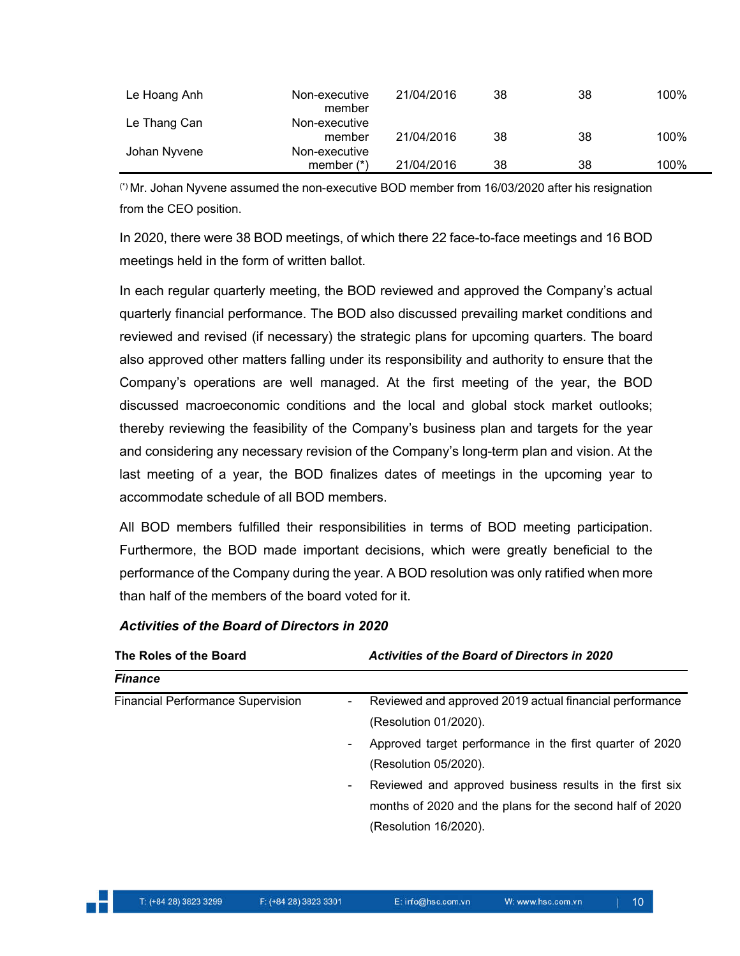| Le Hoang Anh | Non-executive<br>member       | 21/04/2016 | 38 | 38 | 100% |
|--------------|-------------------------------|------------|----|----|------|
| Le Thang Can | Non-executive<br>member       | 21/04/2016 | 38 | 38 | 100% |
| Johan Nyvene | Non-executive<br>member $(*)$ | 21/04/2016 | 38 | 38 | 100% |

(\*) Mr. Johan Nyvene assumed the non-executive BOD member from 16/03/2020 after his resignation from the CEO position.

In 2020, there were 38 BOD meetings, of which there 22 face-to-face meetings and 16 BOD meetings held in the form of written ballot.

In each regular quarterly meeting, the BOD reviewed and approved the Company's actual quarterly financial performance. The BOD also discussed prevailing market conditions and reviewed and revised (if necessary) the strategic plans for upcoming quarters. The board also approved other matters falling under its responsibility and authority to ensure that the Company's operations are well managed. At the first meeting of the year, the BOD discussed macroeconomic conditions and the local and global stock market outlooks; thereby reviewing the feasibility of the Company's business plan and targets for the year and considering any necessary revision of the Company's long-term plan and vision. At the last meeting of a year, the BOD finalizes dates of meetings in the upcoming year to accommodate schedule of all BOD members.

All BOD members fulfilled their responsibilities in terms of BOD meeting participation. Furthermore, the BOD made important decisions, which were greatly beneficial to the performance of the Company during the year. A BOD resolution was only ratified when more than half of the members of the board voted for it.

# *Activities of the Board of Directors in 2020*

| The Roles of the Board                   | <b>Activities of the Board of Directors in 2020</b>                                                                                                                                                                                                                                                                                       |
|------------------------------------------|-------------------------------------------------------------------------------------------------------------------------------------------------------------------------------------------------------------------------------------------------------------------------------------------------------------------------------------------|
| <b>Finance</b>                           |                                                                                                                                                                                                                                                                                                                                           |
| <b>Financial Performance Supervision</b> | Reviewed and approved 2019 actual financial performance<br>$\sim$<br>(Resolution 01/2020).<br>Approved target performance in the first quarter of 2020<br>(Resolution 05/2020).<br>Reviewed and approved business results in the first six<br>$\sim$<br>months of 2020 and the plans for the second half of 2020<br>(Resolution 16/2020). |
|                                          |                                                                                                                                                                                                                                                                                                                                           |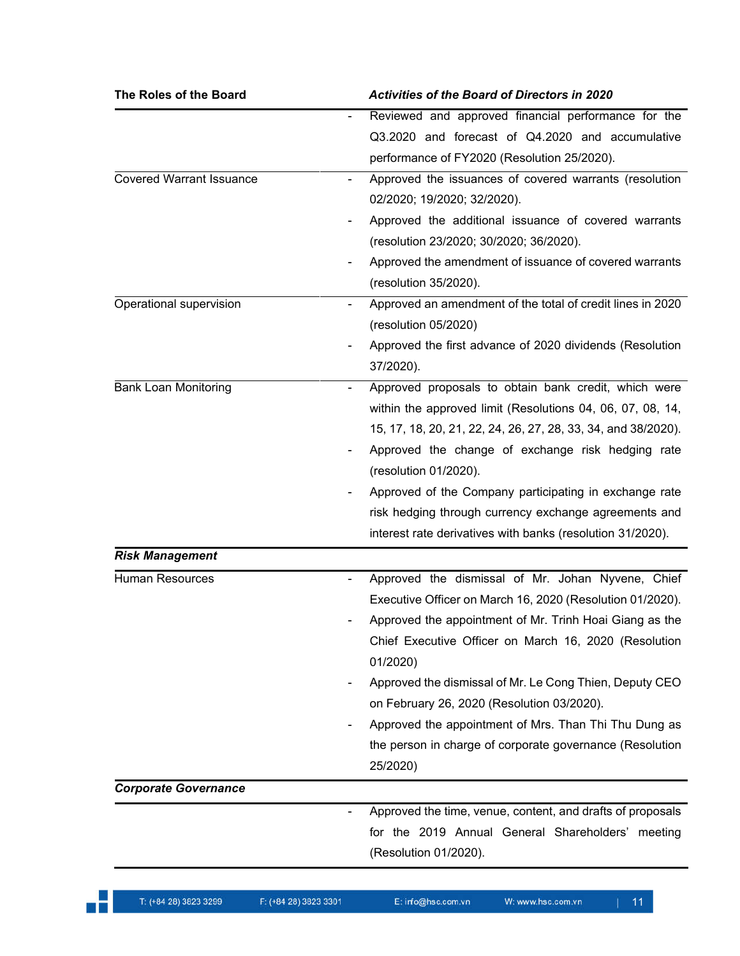| The Roles of the Board          | <b>Activities of the Board of Directors in 2020</b>                                                                                                                                                                                                                                                                                                                                                                                                                                     |
|---------------------------------|-----------------------------------------------------------------------------------------------------------------------------------------------------------------------------------------------------------------------------------------------------------------------------------------------------------------------------------------------------------------------------------------------------------------------------------------------------------------------------------------|
|                                 | Reviewed and approved financial performance for the<br>Q3.2020 and forecast of Q4.2020 and accumulative<br>performance of FY2020 (Resolution 25/2020).                                                                                                                                                                                                                                                                                                                                  |
| <b>Covered Warrant Issuance</b> | Approved the issuances of covered warrants (resolution<br>02/2020; 19/2020; 32/2020).<br>Approved the additional issuance of covered warrants<br>(resolution 23/2020; 30/2020; 36/2020).<br>Approved the amendment of issuance of covered warrants<br>(resolution 35/2020).                                                                                                                                                                                                             |
| Operational supervision         | Approved an amendment of the total of credit lines in 2020<br>(resolution 05/2020)<br>Approved the first advance of 2020 dividends (Resolution<br>37/2020).                                                                                                                                                                                                                                                                                                                             |
| <b>Bank Loan Monitoring</b>     | Approved proposals to obtain bank credit, which were<br>within the approved limit (Resolutions 04, 06, 07, 08, 14,<br>15, 17, 18, 20, 21, 22, 24, 26, 27, 28, 33, 34, and 38/2020).<br>Approved the change of exchange risk hedging rate<br>(resolution 01/2020).<br>Approved of the Company participating in exchange rate<br>risk hedging through currency exchange agreements and<br>interest rate derivatives with banks (resolution 31/2020).                                      |
| <b>Risk Management</b>          |                                                                                                                                                                                                                                                                                                                                                                                                                                                                                         |
| <b>Human Resources</b>          | Approved the dismissal of Mr. Johan Nyvene, Chief<br>Executive Officer on March 16, 2020 (Resolution 01/2020).<br>Approved the appointment of Mr. Trinh Hoai Giang as the<br>Chief Executive Officer on March 16, 2020 (Resolution<br>01/2020<br>Approved the dismissal of Mr. Le Cong Thien, Deputy CEO<br>on February 26, 2020 (Resolution 03/2020).<br>Approved the appointment of Mrs. Than Thi Thu Dung as<br>the person in charge of corporate governance (Resolution<br>25/2020) |
| <b>Corporate Governance</b>     |                                                                                                                                                                                                                                                                                                                                                                                                                                                                                         |
|                                 | Approved the time, venue, content, and drafts of proposals<br>for the 2019 Annual General Shareholders' meeting<br>(Resolution 01/2020).                                                                                                                                                                                                                                                                                                                                                |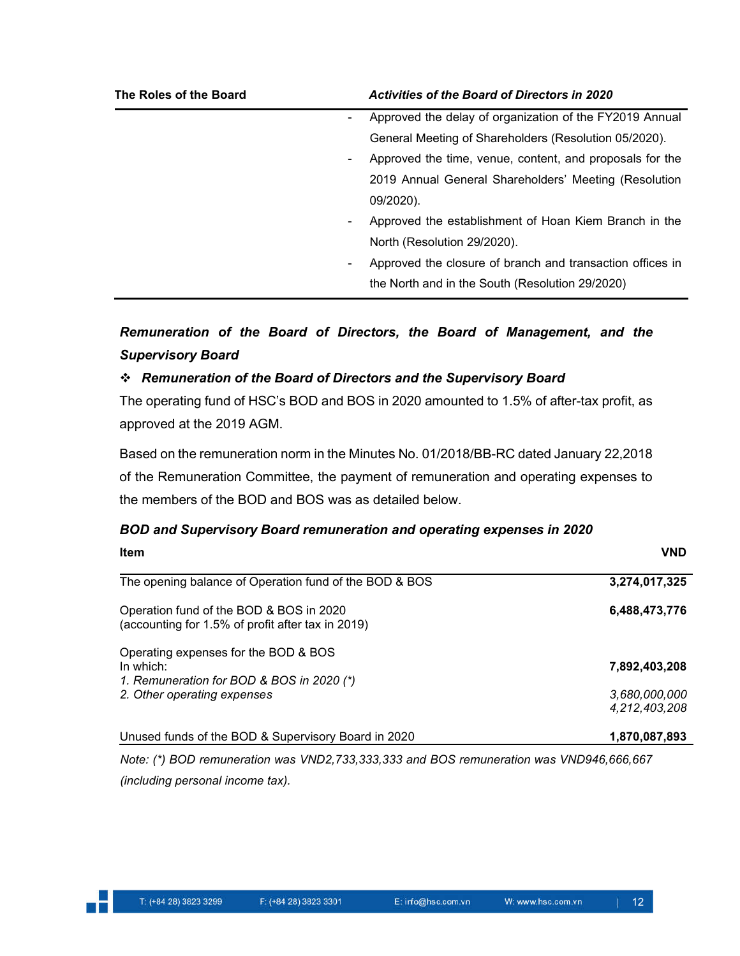| The Roles of the Board | <b>Activities of the Board of Directors in 2020</b>       |
|------------------------|-----------------------------------------------------------|
| $\blacksquare$         | Approved the delay of organization of the FY2019 Annual   |
|                        | General Meeting of Shareholders (Resolution 05/2020).     |
| ٠                      | Approved the time, venue, content, and proposals for the  |
|                        | 2019 Annual General Shareholders' Meeting (Resolution     |
|                        | 09/2020).                                                 |
| $\blacksquare$         | Approved the establishment of Hoan Kiem Branch in the     |
|                        | North (Resolution 29/2020).                               |
| ٠                      | Approved the closure of branch and transaction offices in |
|                        | the North and in the South (Resolution 29/2020)           |

# *Remuneration of the Board of Directors, the Board of Management, and the Supervisory Board*

# *Remuneration of the Board of Directors and the Supervisory Board*

The operating fund of HSC's BOD and BOS in 2020 amounted to 1.5% of after-tax profit, as approved at the 2019 AGM.

Based on the remuneration norm in the Minutes No. 01/2018/BB-RC dated January 22,2018 of the Remuneration Committee, the payment of remuneration and operating expenses to the members of the BOD and BOS was as detailed below.

# *BOD and Supervisory Board remuneration and operating expenses in 2020*

| Item                                                                                           | <b>VND</b>                     |
|------------------------------------------------------------------------------------------------|--------------------------------|
| The opening balance of Operation fund of the BOD & BOS                                         | 3,274,017,325                  |
| Operation fund of the BOD & BOS in 2020<br>(accounting for 1.5% of profit after tax in 2019)   | 6,488,473,776                  |
| Operating expenses for the BOD & BOS<br>In which:<br>1. Remuneration for BOD & BOS in 2020 (*) | 7,892,403,208                  |
| 2. Other operating expenses                                                                    | 3,680,000,000<br>4,212,403,208 |
| Unused funds of the BOD & Supervisory Board in 2020                                            | 1,870,087,893                  |

*Note: (\*) BOD remuneration was VND2,733,333,333 and BOS remuneration was VND946,666,667 (including personal income tax).*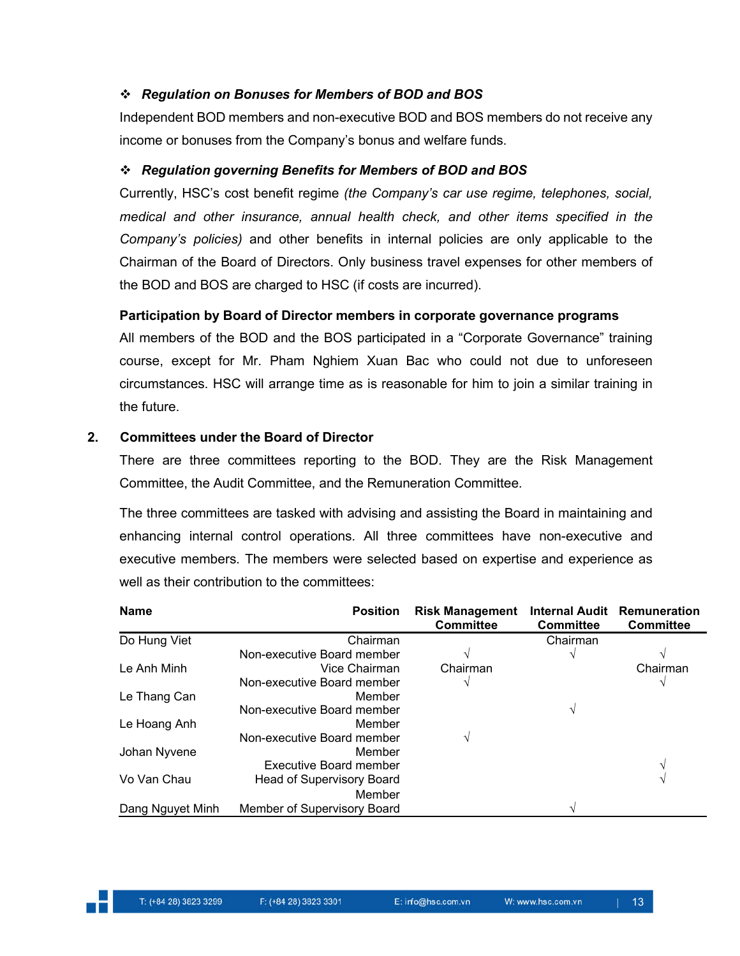# *Regulation on Bonuses for Members of BOD and BOS*

Independent BOD members and non-executive BOD and BOS members do not receive any income or bonuses from the Company's bonus and welfare funds.

# *Regulation governing Benefits for Members of BOD and BOS*

Currently, HSC's cost benefit regime *(the Company's car use regime, telephones, social, medical and other insurance, annual health check, and other items specified in the Company's policies)* and other benefits in internal policies are only applicable to the Chairman of the Board of Directors. Only business travel expenses for other members of the BOD and BOS are charged to HSC (if costs are incurred).

# **Participation by Board of Director members in corporate governance programs**

All members of the BOD and the BOS participated in a "Corporate Governance" training course, except for Mr. Pham Nghiem Xuan Bac who could not due to unforeseen circumstances. HSC will arrange time as is reasonable for him to join a similar training in the future.

# **2. Committees under the Board of Director**

There are three committees reporting to the BOD. They are the Risk Management Committee, the Audit Committee, and the Remuneration Committee.

The three committees are tasked with advising and assisting the Board in maintaining and enhancing internal control operations. All three committees have non-executive and executive members. The members were selected based on expertise and experience as well as their contribution to the committees:

| <b>Name</b>      | <b>Position</b>                  | <b>Risk Management</b><br><b>Committee</b> | <b>Internal Audit</b><br><b>Committee</b> | Remuneration<br><b>Committee</b> |
|------------------|----------------------------------|--------------------------------------------|-------------------------------------------|----------------------------------|
| Do Hung Viet     | Chairman                         |                                            | Chairman                                  |                                  |
|                  | Non-executive Board member       | V                                          |                                           |                                  |
| Le Anh Minh      | Vice Chairman                    | Chairman                                   |                                           | Chairman                         |
|                  | Non-executive Board member       |                                            |                                           |                                  |
| Le Thang Can     | Member                           |                                            |                                           |                                  |
|                  | Non-executive Board member       |                                            |                                           |                                  |
| Le Hoang Anh     | Member                           |                                            |                                           |                                  |
|                  | Non-executive Board member       | V                                          |                                           |                                  |
| Johan Nyvene     | Member                           |                                            |                                           |                                  |
|                  | <b>Executive Board member</b>    |                                            |                                           |                                  |
| Vo Van Chau      | <b>Head of Supervisory Board</b> |                                            |                                           |                                  |
|                  | Member                           |                                            |                                           |                                  |
| Dang Nguyet Minh | Member of Supervisory Board      |                                            |                                           |                                  |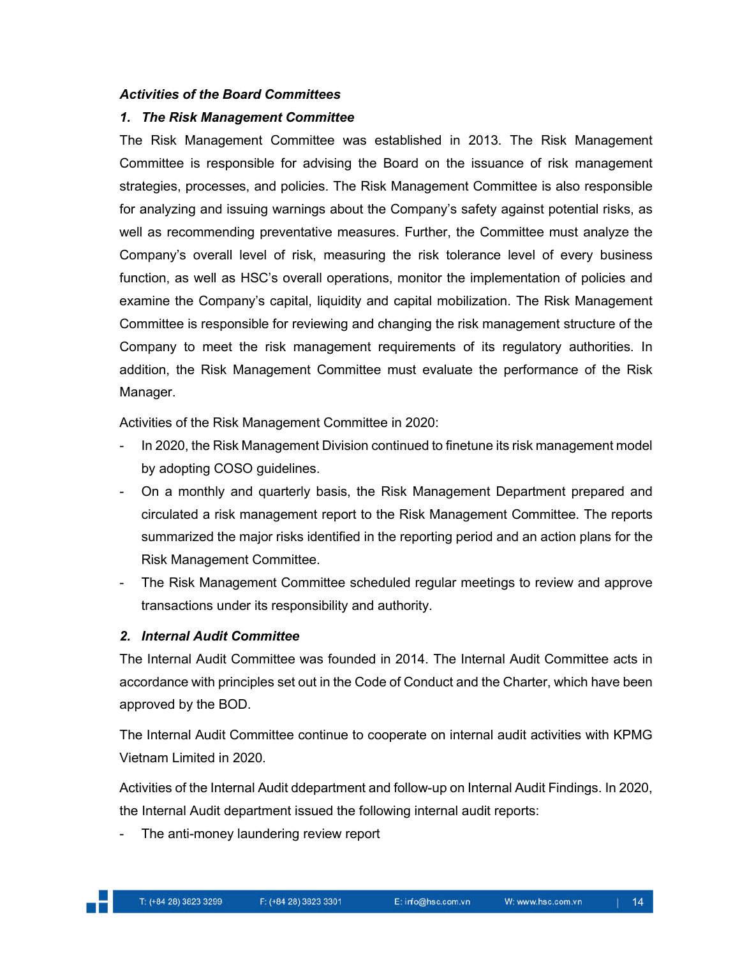#### *Activities of the Board Committees*

#### *1. The Risk Management Committee*

The Risk Management Committee was established in 2013. The Risk Management Committee is responsible for advising the Board on the issuance of risk management strategies, processes, and policies. The Risk Management Committee is also responsible for analyzing and issuing warnings about the Company's safety against potential risks, as well as recommending preventative measures. Further, the Committee must analyze the Company's overall level of risk, measuring the risk tolerance level of every business function, as well as HSC's overall operations, monitor the implementation of policies and examine the Company's capital, liquidity and capital mobilization. The Risk Management Committee is responsible for reviewing and changing the risk management structure of the Company to meet the risk management requirements of its regulatory authorities. In addition, the Risk Management Committee must evaluate the performance of the Risk Manager.

Activities of the Risk Management Committee in 2020:

- In 2020, the Risk Management Division continued to finetune its risk management model by adopting COSO guidelines.
- On a monthly and quarterly basis, the Risk Management Department prepared and circulated a risk management report to the Risk Management Committee. The reports summarized the major risks identified in the reporting period and an action plans for the Risk Management Committee.
- The Risk Management Committee scheduled regular meetings to review and approve transactions under its responsibility and authority.

#### *2. Internal Audit Committee*

The Internal Audit Committee was founded in 2014. The Internal Audit Committee acts in accordance with principles set out in the Code of Conduct and the Charter, which have been approved by the BOD.

The Internal Audit Committee continue to cooperate on internal audit activities with KPMG Vietnam Limited in 2020.

Activities of the Internal Audit ddepartment and follow-up on Internal Audit Findings. In 2020, the Internal Audit department issued the following internal audit reports:

The anti-money laundering review report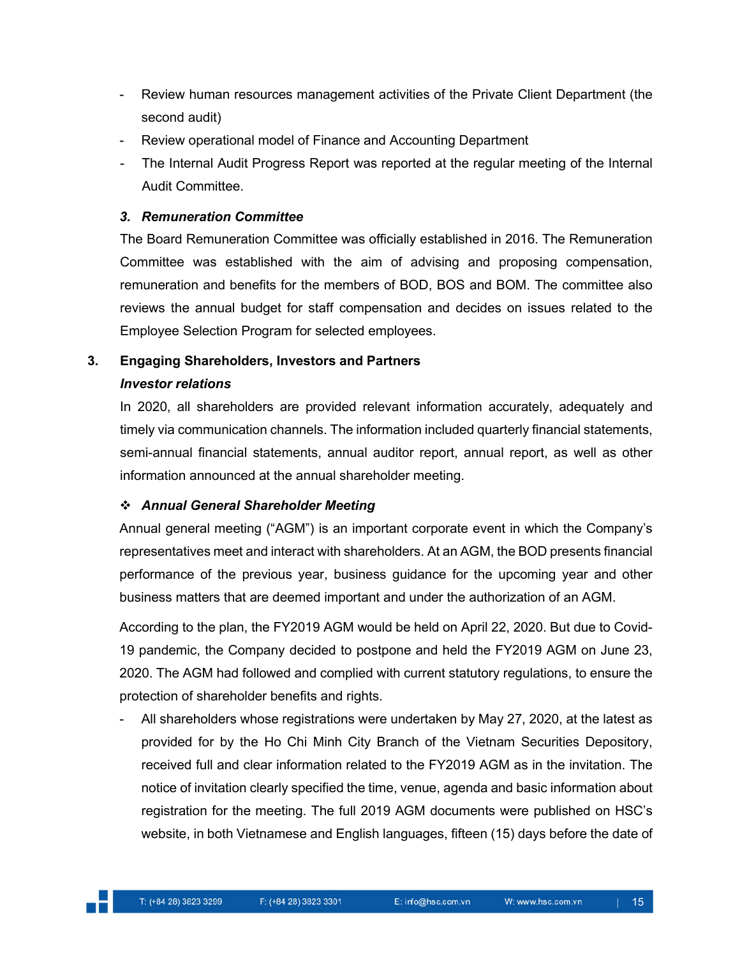- Review human resources management activities of the Private Client Department (the second audit)
- Review operational model of Finance and Accounting Department
- The Internal Audit Progress Report was reported at the regular meeting of the Internal Audit Committee.

# *3. Remuneration Committee*

The Board Remuneration Committee was officially established in 2016. The Remuneration Committee was established with the aim of advising and proposing compensation, remuneration and benefits for the members of BOD, BOS and BOM. The committee also reviews the annual budget for staff compensation and decides on issues related to the Employee Selection Program for selected employees.

# **3. Engaging Shareholders, Investors and Partners** *Investor relations*

In 2020, all shareholders are provided relevant information accurately, adequately and timely via communication channels. The information included quarterly financial statements, semi-annual financial statements, annual auditor report, annual report, as well as other information announced at the annual shareholder meeting.

# *Annual General Shareholder Meeting*

Annual general meeting ("AGM") is an important corporate event in which the Company's representatives meet and interact with shareholders. At an AGM, the BOD presents financial performance of the previous year, business guidance for the upcoming year and other business matters that are deemed important and under the authorization of an AGM.

According to the plan, the FY2019 AGM would be held on April 22, 2020. But due to Covid-19 pandemic, the Company decided to postpone and held the FY2019 AGM on June 23, 2020. The AGM had followed and complied with current statutory regulations, to ensure the protection of shareholder benefits and rights.

All shareholders whose registrations were undertaken by May 27, 2020, at the latest as provided for by the Ho Chi Minh City Branch of the Vietnam Securities Depository, received full and clear information related to the FY2019 AGM as in the invitation. The notice of invitation clearly specified the time, venue, agenda and basic information about registration for the meeting. The full 2019 AGM documents were published on HSC's website, in both Vietnamese and English languages, fifteen (15) days before the date of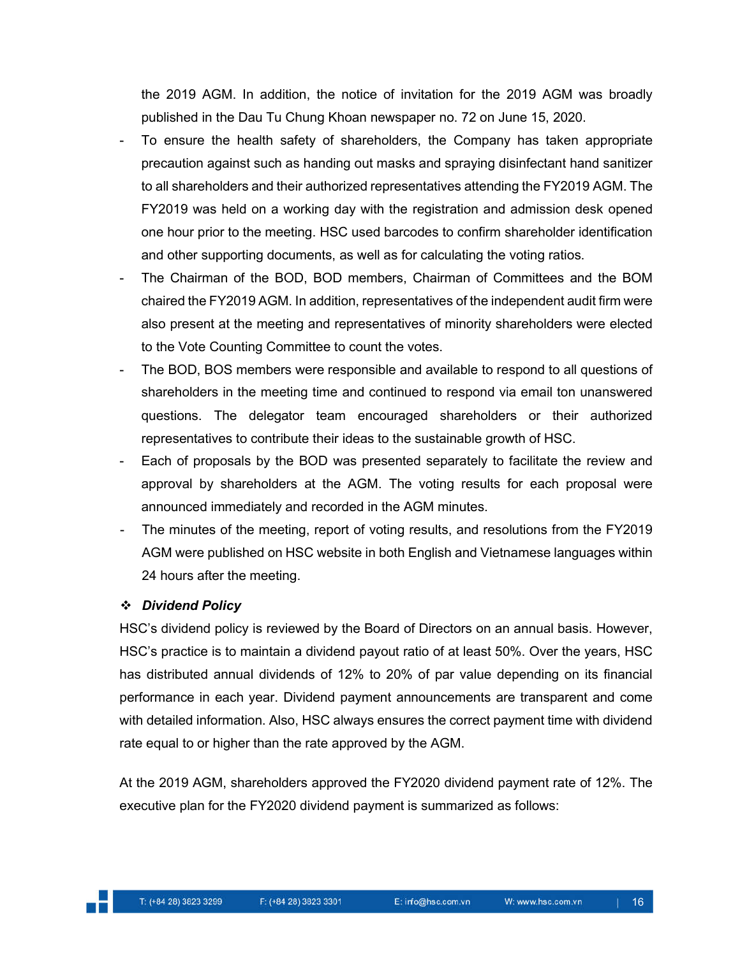the 2019 AGM. In addition, the notice of invitation for the 2019 AGM was broadly published in the Dau Tu Chung Khoan newspaper no. 72 on June 15, 2020.

- To ensure the health safety of shareholders, the Company has taken appropriate precaution against such as handing out masks and spraying disinfectant hand sanitizer to all shareholders and their authorized representatives attending the FY2019 AGM. The FY2019 was held on a working day with the registration and admission desk opened one hour prior to the meeting. HSC used barcodes to confirm shareholder identification and other supporting documents, as well as for calculating the voting ratios.
- The Chairman of the BOD, BOD members, Chairman of Committees and the BOM chaired the FY2019 AGM. In addition, representatives of the independent audit firm were also present at the meeting and representatives of minority shareholders were elected to the Vote Counting Committee to count the votes.
- The BOD, BOS members were responsible and available to respond to all questions of shareholders in the meeting time and continued to respond via email ton unanswered questions. The delegator team encouraged shareholders or their authorized representatives to contribute their ideas to the sustainable growth of HSC.
- Each of proposals by the BOD was presented separately to facilitate the review and approval by shareholders at the AGM. The voting results for each proposal were announced immediately and recorded in the AGM minutes.
- The minutes of the meeting, report of voting results, and resolutions from the FY2019 AGM were published on HSC website in both English and Vietnamese languages within 24 hours after the meeting.

# *Dividend Policy*

HSC's dividend policy is reviewed by the Board of Directors on an annual basis. However, HSC's practice is to maintain a dividend payout ratio of at least 50%. Over the years, HSC has distributed annual dividends of 12% to 20% of par value depending on its financial performance in each year. Dividend payment announcements are transparent and come with detailed information. Also, HSC always ensures the correct payment time with dividend rate equal to or higher than the rate approved by the AGM.

At the 2019 AGM, shareholders approved the FY2020 dividend payment rate of 12%. The executive plan for the FY2020 dividend payment is summarized as follows: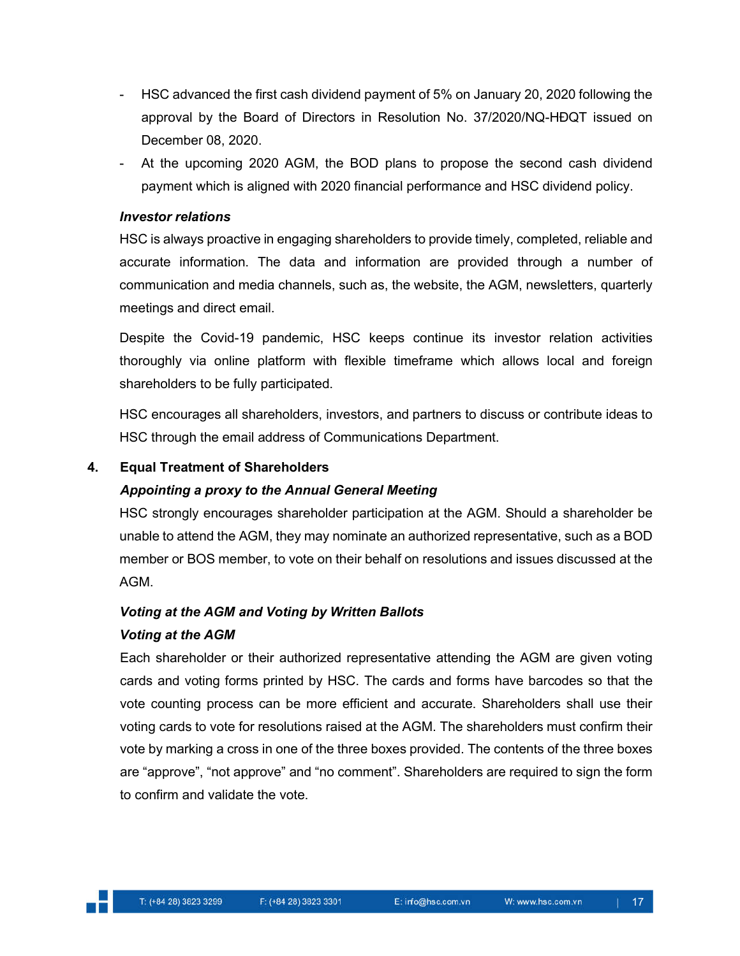- HSC advanced the first cash dividend payment of 5% on January 20, 2020 following the approval by the Board of Directors in Resolution No. 37/2020/NQ-HĐQT issued on December 08, 2020.
- At the upcoming 2020 AGM, the BOD plans to propose the second cash dividend payment which is aligned with 2020 financial performance and HSC dividend policy.

# *Investor relations*

HSC is always proactive in engaging shareholders to provide timely, completed, reliable and accurate information. The data and information are provided through a number of communication and media channels, such as, the website, the AGM, newsletters, quarterly meetings and direct email.

Despite the Covid-19 pandemic, HSC keeps continue its investor relation activities thoroughly via online platform with flexible timeframe which allows local and foreign shareholders to be fully participated.

HSC encourages all shareholders, investors, and partners to discuss or contribute ideas to HSC through the email address of Communications Department.

# **4. Equal Treatment of Shareholders**

# *Appointing a proxy to the Annual General Meeting*

HSC strongly encourages shareholder participation at the AGM. Should a shareholder be unable to attend the AGM, they may nominate an authorized representative, such as a BOD member or BOS member, to vote on their behalf on resolutions and issues discussed at the AGM.

# *Voting at the AGM and Voting by Written Ballots Voting at the AGM*

Each shareholder or their authorized representative attending the AGM are given voting cards and voting forms printed by HSC. The cards and forms have barcodes so that the vote counting process can be more efficient and accurate. Shareholders shall use their voting cards to vote for resolutions raised at the AGM. The shareholders must confirm their vote by marking a cross in one of the three boxes provided. The contents of the three boxes are "approve", "not approve" and "no comment". Shareholders are required to sign the form to confirm and validate the vote.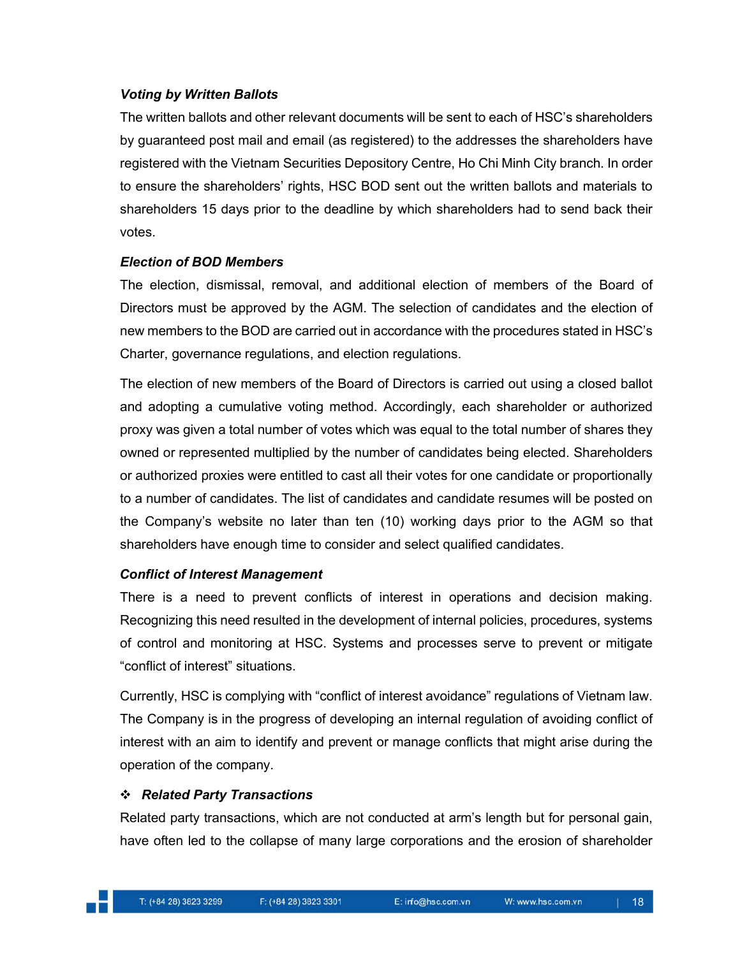# *Voting by Written Ballots*

The written ballots and other relevant documents will be sent to each of HSC's shareholders by guaranteed post mail and email (as registered) to the addresses the shareholders have registered with the Vietnam Securities Depository Centre, Ho Chi Minh City branch. In order to ensure the shareholders' rights, HSC BOD sent out the written ballots and materials to shareholders 15 days prior to the deadline by which shareholders had to send back their votes.

# *Election of BOD Members*

The election, dismissal, removal, and additional election of members of the Board of Directors must be approved by the AGM. The selection of candidates and the election of new members to the BOD are carried out in accordance with the procedures stated in HSC's Charter, governance regulations, and election regulations.

The election of new members of the Board of Directors is carried out using a closed ballot and adopting a cumulative voting method. Accordingly, each shareholder or authorized proxy was given a total number of votes which was equal to the total number of shares they owned or represented multiplied by the number of candidates being elected. Shareholders or authorized proxies were entitled to cast all their votes for one candidate or proportionally to a number of candidates. The list of candidates and candidate resumes will be posted on the Company's website no later than ten (10) working days prior to the AGM so that shareholders have enough time to consider and select qualified candidates.

# *Conflict of Interest Management*

There is a need to prevent conflicts of interest in operations and decision making. Recognizing this need resulted in the development of internal policies, procedures, systems of control and monitoring at HSC. Systems and processes serve to prevent or mitigate "conflict of interest" situations.

Currently, HSC is complying with "conflict of interest avoidance" regulations of Vietnam law. The Company is in the progress of developing an internal regulation of avoiding conflict of interest with an aim to identify and prevent or manage conflicts that might arise during the operation of the company.

# *Related Party Transactions*

Related party transactions, which are not conducted at arm's length but for personal gain, have often led to the collapse of many large corporations and the erosion of shareholder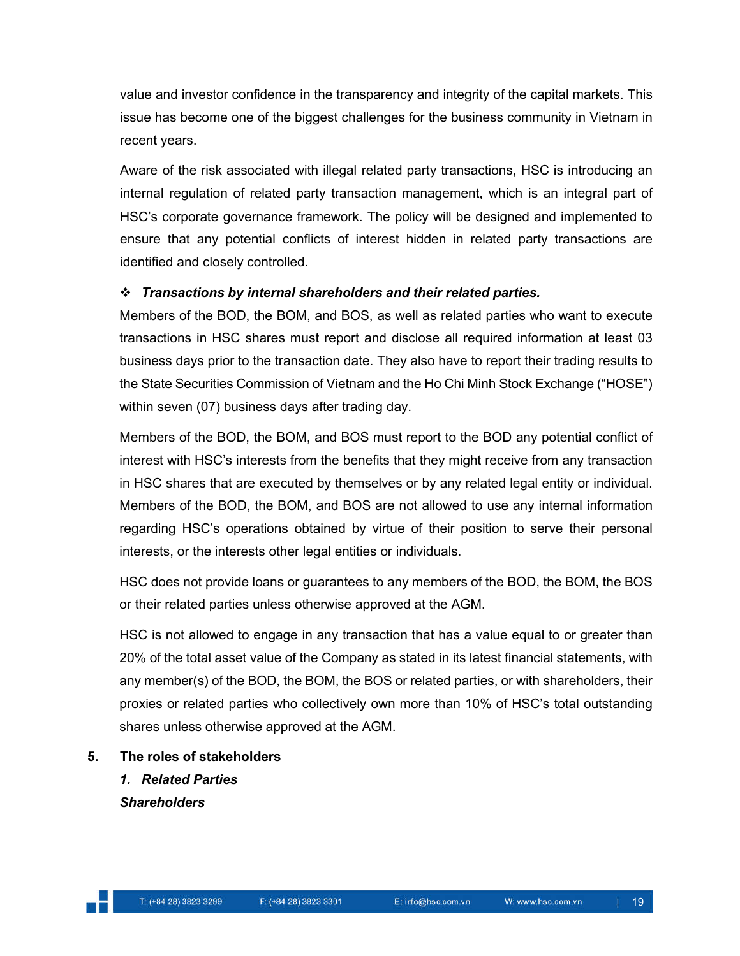value and investor confidence in the transparency and integrity of the capital markets. This issue has become one of the biggest challenges for the business community in Vietnam in recent years.

Aware of the risk associated with illegal related party transactions, HSC is introducing an internal regulation of related party transaction management, which is an integral part of HSC's corporate governance framework. The policy will be designed and implemented to ensure that any potential conflicts of interest hidden in related party transactions are identified and closely controlled.

# *Transactions by internal shareholders and their related parties.*

Members of the BOD, the BOM, and BOS, as well as related parties who want to execute transactions in HSC shares must report and disclose all required information at least 03 business days prior to the transaction date. They also have to report their trading results to the State Securities Commission of Vietnam and the Ho Chi Minh Stock Exchange ("HOSE") within seven (07) business days after trading day.

Members of the BOD, the BOM, and BOS must report to the BOD any potential conflict of interest with HSC's interests from the benefits that they might receive from any transaction in HSC shares that are executed by themselves or by any related legal entity or individual. Members of the BOD, the BOM, and BOS are not allowed to use any internal information regarding HSC's operations obtained by virtue of their position to serve their personal interests, or the interests other legal entities or individuals.

HSC does not provide loans or guarantees to any members of the BOD, the BOM, the BOS or their related parties unless otherwise approved at the AGM.

HSC is not allowed to engage in any transaction that has a value equal to or greater than 20% of the total asset value of the Company as stated in its latest financial statements, with any member(s) of the BOD, the BOM, the BOS or related parties, or with shareholders, their proxies or related parties who collectively own more than 10% of HSC's total outstanding shares unless otherwise approved at the AGM.

- **5. The roles of stakeholders**
	- *1. Related Parties Shareholders*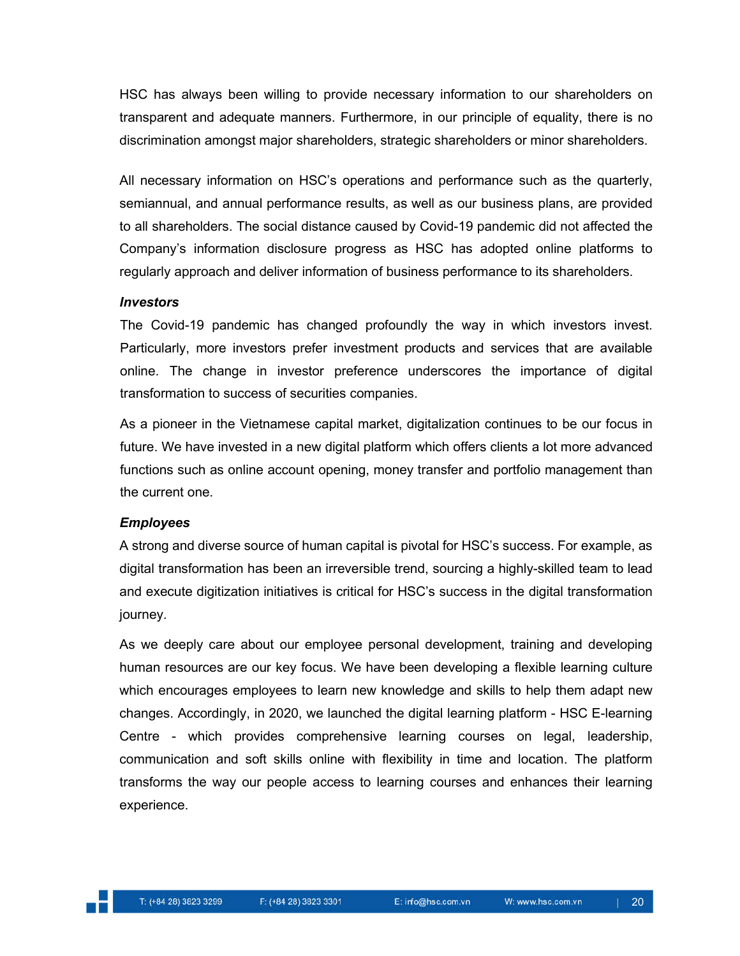HSC has always been willing to provide necessary information to our shareholders on transparent and adequate manners. Furthermore, in our principle of equality, there is no discrimination amongst major shareholders, strategic shareholders or minor shareholders.

All necessary information on HSC's operations and performance such as the quarterly, semiannual, and annual performance results, as well as our business plans, are provided to all shareholders. The social distance caused by Covid-19 pandemic did not affected the Company's information disclosure progress as HSC has adopted online platforms to regularly approach and deliver information of business performance to its shareholders.

#### *Investors*

The Covid-19 pandemic has changed profoundly the way in which investors invest. Particularly, more investors prefer investment products and services that are available online. The change in investor preference underscores the importance of digital transformation to success of securities companies.

As a pioneer in the Vietnamese capital market, digitalization continues to be our focus in future. We have invested in a new digital platform which offers clients a lot more advanced functions such as online account opening, money transfer and portfolio management than the current one.

#### *Employees*

A strong and diverse source of human capital is pivotal for HSC's success. For example, as digital transformation has been an irreversible trend, sourcing a highly-skilled team to lead and execute digitization initiatives is critical for HSC's success in the digital transformation journey.

As we deeply care about our employee personal development, training and developing human resources are our key focus. We have been developing a flexible learning culture which encourages employees to learn new knowledge and skills to help them adapt new changes. Accordingly, in 2020, we launched the digital learning platform - HSC E-learning Centre - which provides comprehensive learning courses on legal, leadership, communication and soft skills online with flexibility in time and location. The platform transforms the way our people access to learning courses and enhances their learning experience.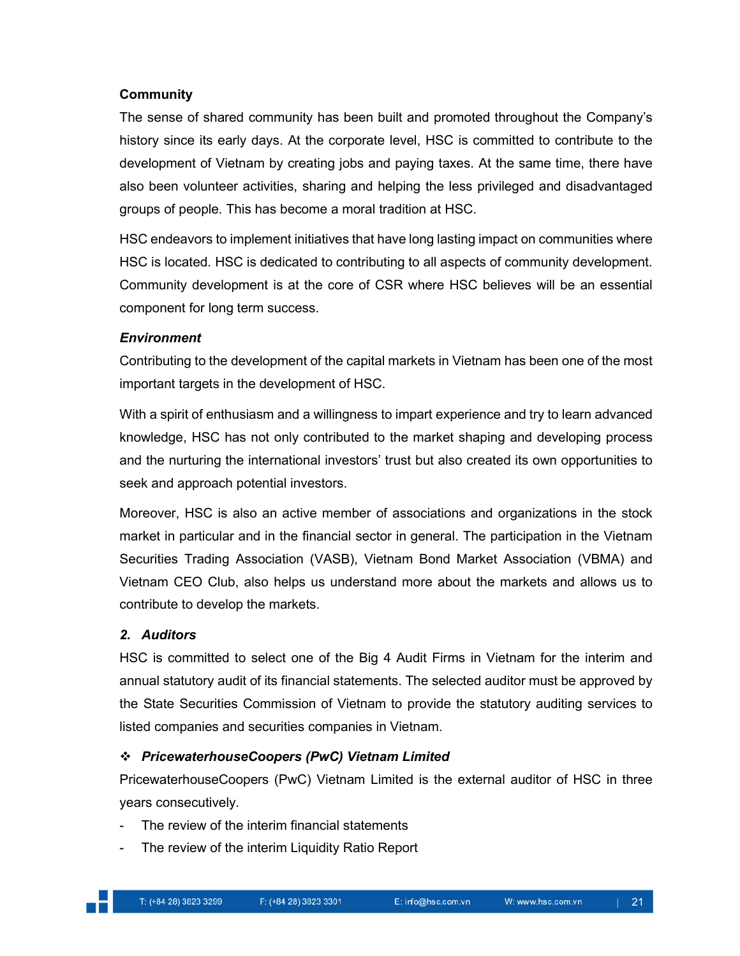#### **Community**

The sense of shared community has been built and promoted throughout the Company's history since its early days. At the corporate level, HSC is committed to contribute to the development of Vietnam by creating jobs and paying taxes. At the same time, there have also been volunteer activities, sharing and helping the less privileged and disadvantaged groups of people. This has become a moral tradition at HSC.

HSC endeavors to implement initiatives that have long lasting impact on communities where HSC is located. HSC is dedicated to contributing to all aspects of community development. Community development is at the core of CSR where HSC believes will be an essential component for long term success.

# *Environment*

Contributing to the development of the capital markets in Vietnam has been one of the most important targets in the development of HSC.

With a spirit of enthusiasm and a willingness to impart experience and try to learn advanced knowledge, HSC has not only contributed to the market shaping and developing process and the nurturing the international investors' trust but also created its own opportunities to seek and approach potential investors.

Moreover, HSC is also an active member of associations and organizations in the stock market in particular and in the financial sector in general. The participation in the Vietnam Securities Trading Association (VASB), Vietnam Bond Market Association (VBMA) and Vietnam CEO Club, also helps us understand more about the markets and allows us to contribute to develop the markets.

# *2. Auditors*

HSC is committed to select one of the Big 4 Audit Firms in Vietnam for the interim and annual statutory audit of its financial statements. The selected auditor must be approved by the State Securities Commission of Vietnam to provide the statutory auditing services to listed companies and securities companies in Vietnam.

# *PricewaterhouseCoopers (PwC) Vietnam Limited*

PricewaterhouseCoopers (PwC) Vietnam Limited is the external auditor of HSC in three years consecutively.

- The review of the interim financial statements
- The review of the interim Liquidity Ratio Report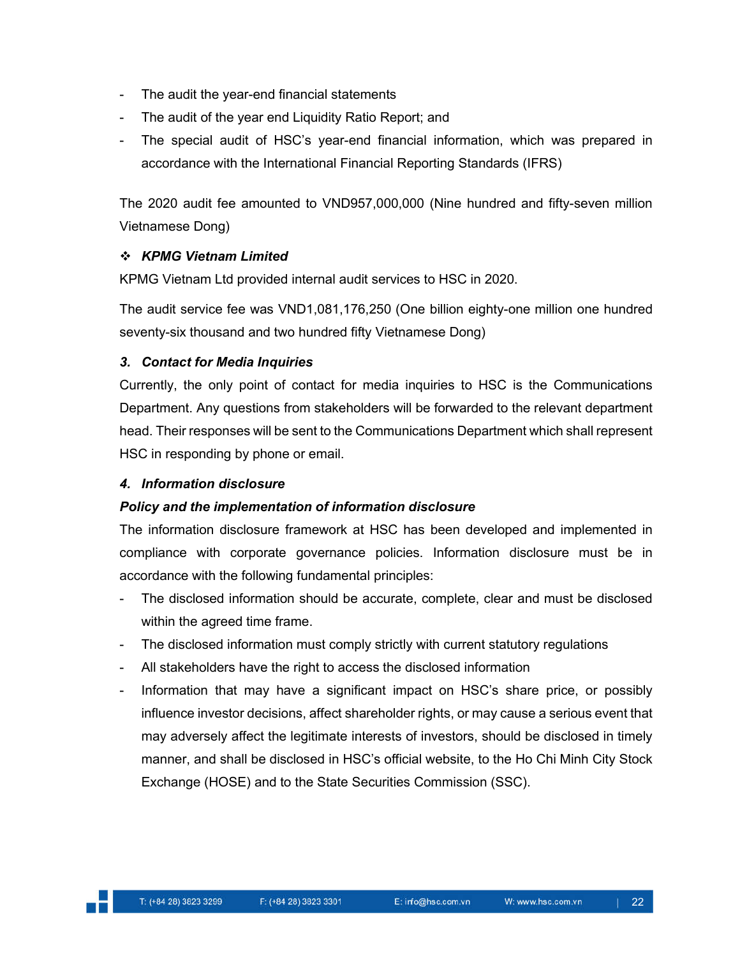- The audit the year-end financial statements
- The audit of the year end Liquidity Ratio Report; and
- The special audit of HSC's year-end financial information, which was prepared in accordance with the International Financial Reporting Standards (IFRS)

The 2020 audit fee amounted to VND957,000,000 (Nine hundred and fifty-seven million Vietnamese Dong)

# *KPMG Vietnam Limited*

KPMG Vietnam Ltd provided internal audit services to HSC in 2020.

The audit service fee was VND1,081,176,250 (One billion eighty-one million one hundred seventy-six thousand and two hundred fifty Vietnamese Dong)

# *3. Contact for Media Inquiries*

Currently, the only point of contact for media inquiries to HSC is the Communications Department. Any questions from stakeholders will be forwarded to the relevant department head. Their responses will be sent to the Communications Department which shall represent HSC in responding by phone or email.

#### *4. Information disclosure*

# *Policy and the implementation of information disclosure*

The information disclosure framework at HSC has been developed and implemented in compliance with corporate governance policies. Information disclosure must be in accordance with the following fundamental principles:

- The disclosed information should be accurate, complete, clear and must be disclosed within the agreed time frame.
- The disclosed information must comply strictly with current statutory regulations
- All stakeholders have the right to access the disclosed information
- Information that may have a significant impact on HSC's share price, or possibly influence investor decisions, affect shareholder rights, or may cause a serious event that may adversely affect the legitimate interests of investors, should be disclosed in timely manner, and shall be disclosed in HSC's official website, to the Ho Chi Minh City Stock Exchange (HOSE) and to the State Securities Commission (SSC).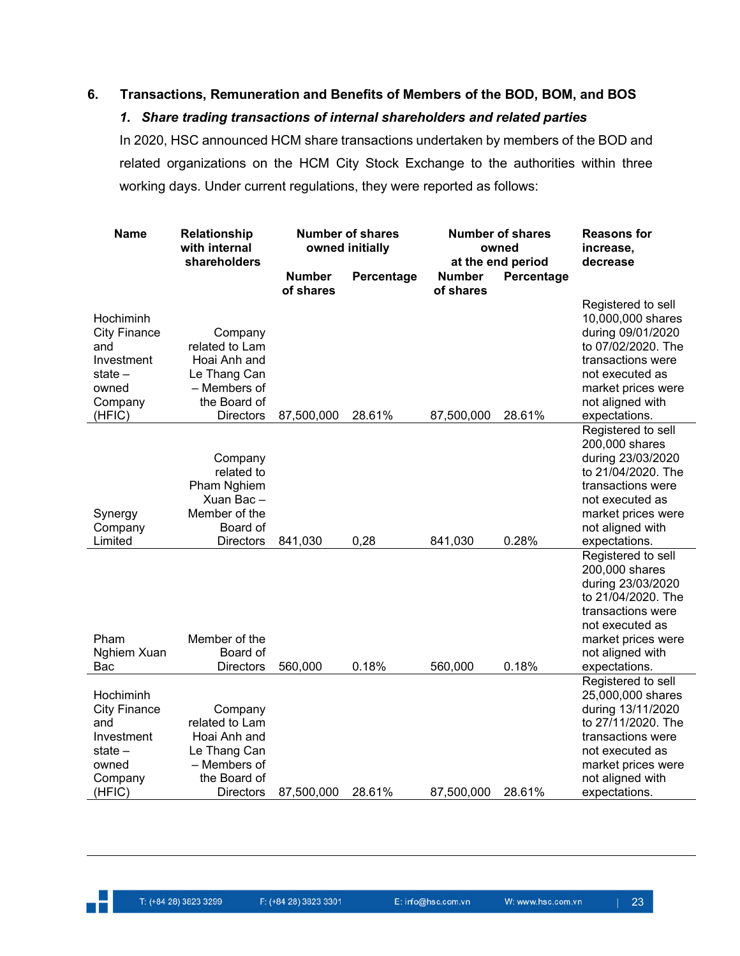# **6. Transactions, Remuneration and Benefits of Members of the BOD, BOM, and BOS**

#### *1. Share trading transactions of internal shareholders and related parties*

In 2020, HSC announced HCM share transactions undertaken by members of the BOD and related organizations on the HCM City Stock Exchange to the authorities within three working days. Under current regulations, they were reported as follows:

| Name                                                                                           | <b>Number of shares</b><br><b>Relationship</b><br>with internal<br>owned initially<br>shareholders            |                            |            |                            | <b>Number of shares</b><br>owned<br>at the end period | <b>Reasons for</b><br>increase,<br>decrease                                                                                                                                           |
|------------------------------------------------------------------------------------------------|---------------------------------------------------------------------------------------------------------------|----------------------------|------------|----------------------------|-------------------------------------------------------|---------------------------------------------------------------------------------------------------------------------------------------------------------------------------------------|
|                                                                                                |                                                                                                               | <b>Number</b><br>of shares | Percentage | <b>Number</b><br>of shares | Percentage                                            |                                                                                                                                                                                       |
| Hochiminh<br><b>City Finance</b><br>and<br>Investment<br>state –<br>owned<br>Company<br>(HFIC) | Company<br>related to Lam<br>Hoai Anh and<br>Le Thang Can<br>– Members of<br>the Board of<br><b>Directors</b> | 87,500,000                 | 28.61%     | 87,500,000                 | 28.61%                                                | Registered to sell<br>10,000,000 shares<br>during 09/01/2020<br>to 07/02/2020. The<br>transactions were<br>not executed as<br>market prices were<br>not aligned with<br>expectations. |
| Synergy<br>Company<br>Limited                                                                  | Company<br>related to<br>Pham Nghiem<br>Xuan Bac-<br>Member of the<br>Board of<br><b>Directors</b>            | 841,030                    | 0,28       | 841,030                    | 0.28%                                                 | Registered to sell<br>200,000 shares<br>during 23/03/2020<br>to 21/04/2020. The<br>transactions were<br>not executed as<br>market prices were<br>not aligned with<br>expectations.    |
| Pham<br>Nghiem Xuan<br>Bac                                                                     | Member of the<br>Board of<br><b>Directors</b>                                                                 | 560,000                    | 0.18%      | 560,000                    | 0.18%                                                 | Registered to sell<br>200,000 shares<br>during 23/03/2020<br>to 21/04/2020. The<br>transactions were<br>not executed as<br>market prices were<br>not aligned with<br>expectations.    |
| Hochiminh<br><b>City Finance</b><br>and<br>Investment<br>state –<br>owned<br>Company<br>(HFIC) | Company<br>related to Lam<br>Hoai Anh and<br>Le Thang Can<br>– Members of<br>the Board of<br><b>Directors</b> | 87,500,000                 | 28.61%     | 87,500,000                 | 28.61%                                                | Registered to sell<br>25,000,000 shares<br>during 13/11/2020<br>to 27/11/2020. The<br>transactions were<br>not executed as<br>market prices were<br>not aligned with<br>expectations. |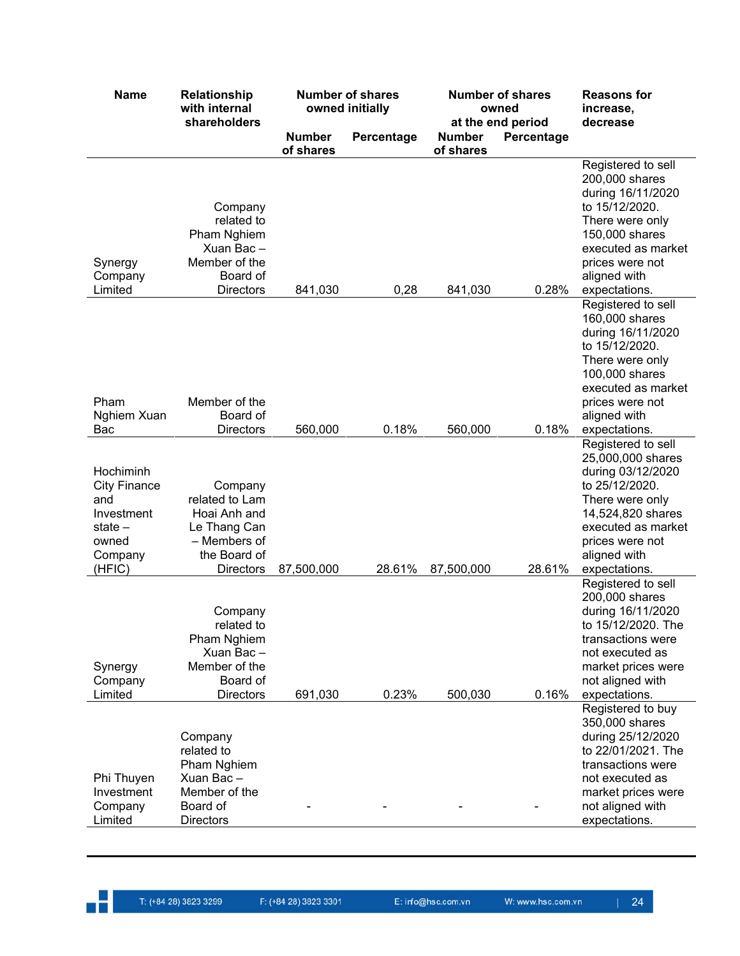| <b>Name</b>                                                                                      | Relationship<br>with internal<br>shareholders                                                                 |                            | <b>Number of shares</b><br>owned initially |                            | <b>Number of shares</b><br>owned<br>at the end period | <b>Reasons for</b><br>increase,<br>decrease                                                                                                                                                |
|--------------------------------------------------------------------------------------------------|---------------------------------------------------------------------------------------------------------------|----------------------------|--------------------------------------------|----------------------------|-------------------------------------------------------|--------------------------------------------------------------------------------------------------------------------------------------------------------------------------------------------|
|                                                                                                  |                                                                                                               | <b>Number</b><br>of shares | Percentage                                 | <b>Number</b><br>of shares | Percentage                                            |                                                                                                                                                                                            |
| Synergy<br>Company<br>Limited                                                                    | Company<br>related to<br>Pham Nghiem<br>Xuan Bac-<br>Member of the<br>Board of<br><b>Directors</b>            | 841,030                    | 0,28                                       | 841,030                    | 0.28%                                                 | Registered to sell<br>200,000 shares<br>during 16/11/2020<br>to 15/12/2020.<br>There were only<br>150,000 shares<br>executed as market<br>prices were not<br>aligned with<br>expectations. |
| Pham<br>Nghiem Xuan                                                                              | Member of the<br>Board of                                                                                     |                            |                                            |                            |                                                       | Registered to sell<br>160,000 shares<br>during 16/11/2020<br>to 15/12/2020.<br>There were only<br>100,000 shares<br>executed as market<br>prices were not<br>aligned with                  |
| Bac                                                                                              | <b>Directors</b>                                                                                              | 560,000                    | 0.18%                                      | 560,000                    | 0.18%                                                 | expectations.<br>Registered to sell                                                                                                                                                        |
| Hochiminh<br><b>City Finance</b><br>and<br>Investment<br>state $-$<br>owned<br>Company<br>(HFIC) | Company<br>related to Lam<br>Hoai Anh and<br>Le Thang Can<br>- Members of<br>the Board of<br><b>Directors</b> | 87,500,000                 | 28.61%                                     | 87,500,000                 | 28.61%                                                | 25,000,000 shares<br>during 03/12/2020<br>to 25/12/2020.<br>There were only<br>14,524,820 shares<br>executed as market<br>prices were not<br>aligned with<br>expectations.                 |
| Synergy<br>Company<br>Limited                                                                    | Company<br>related to<br>Pham Nghiem<br>Xuan Bac-<br>Member of the<br>Board of<br><b>Directors</b>            | 691,030                    | 0.23%                                      | 500,030                    | 0.16%                                                 | Registered to sell<br>200,000 shares<br>during 16/11/2020<br>to 15/12/2020. The<br>transactions were<br>not executed as<br>market prices were<br>not aligned with<br>expectations.         |
| Phi Thuyen<br>Investment<br>Company<br>Limited                                                   | Company<br>related to<br>Pham Nghiem<br>Xuan Bac-<br>Member of the<br>Board of<br><b>Directors</b>            |                            |                                            |                            |                                                       | Registered to buy<br>350,000 shares<br>during 25/12/2020<br>to 22/01/2021. The<br>transactions were<br>not executed as<br>market prices were<br>not aligned with<br>expectations.          |

n E